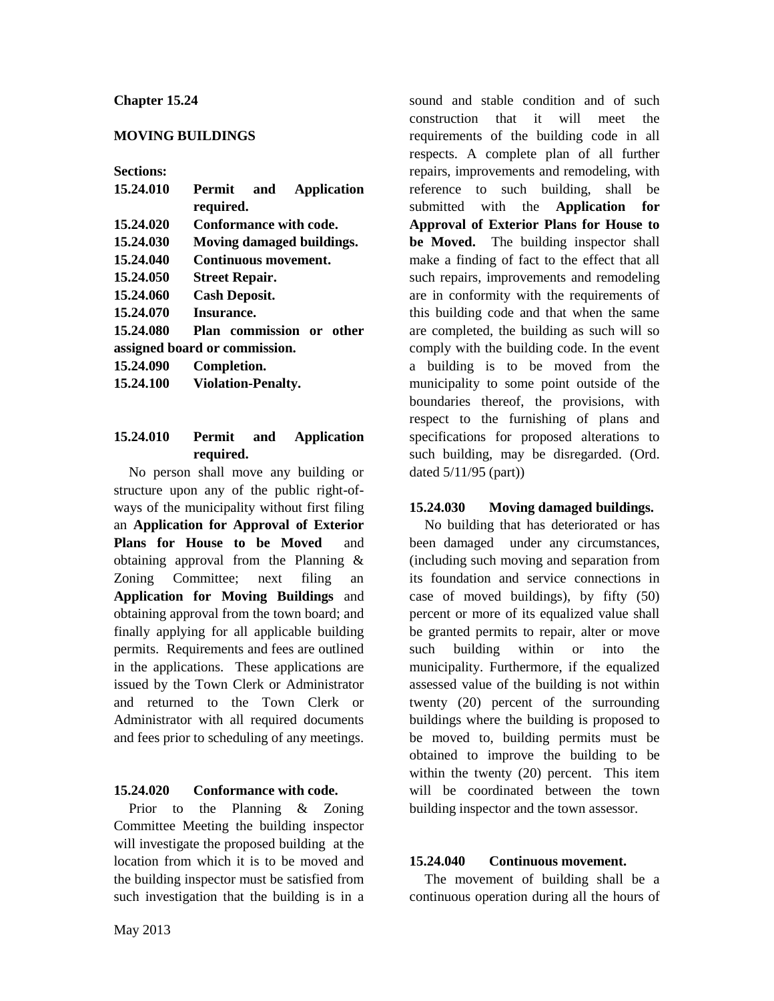## **Chapter 15.24**

## **MOVING BUILDINGS**

#### **Sections:**

| 15.24.010                     | Permit and<br>Application<br>required. |
|-------------------------------|----------------------------------------|
|                               |                                        |
| 15.24.020                     | Conformance with code.                 |
| 15.24.030                     | Moving damaged buildings.              |
| 15.24.040                     | Continuous movement.                   |
| 15.24.050                     | <b>Street Repair.</b>                  |
| 15.24.060                     | <b>Cash Deposit.</b>                   |
| 15.24.070                     | Insurance.                             |
| 15.24.080                     | Plan commission or other               |
| assigned board or commission. |                                        |
| 15.24.090                     | Completion.                            |
| 15.24.100                     | <b>Violation-Penalty.</b>              |
|                               |                                        |

## **15.24.010 Permit and Application required.**

No person shall move any building or structure upon any of the public right-ofways of the municipality without first filing an **Application for Approval of Exterior Plans for House to be Moved** and obtaining approval from the Planning & Zoning Committee; next filing an **Application for Moving Buildings** and obtaining approval from the town board; and finally applying for all applicable building permits. Requirements and fees are outlined in the applications. These applications are issued by the Town Clerk or Administrator and returned to the Town Clerk or Administrator with all required documents and fees prior to scheduling of any meetings.

#### **15.24.020 Conformance with code.**

Prior to the Planning & Zoning Committee Meeting the building inspector will investigate the proposed building at the location from which it is to be moved and the building inspector must be satisfied from such investigation that the building is in a

sound and stable condition and of such construction that it will meet the requirements of the building code in all respects. A complete plan of all further repairs, improvements and remodeling, with reference to such building, shall be submitted with the **Application for Approval of Exterior Plans for House to be Moved.** The building inspector shall make a finding of fact to the effect that all such repairs, improvements and remodeling are in conformity with the requirements of this building code and that when the same are completed, the building as such will so comply with the building code. In the event a building is to be moved from the municipality to some point outside of the boundaries thereof, the provisions, with respect to the furnishing of plans and specifications for proposed alterations to such building, may be disregarded. (Ord. dated 5/11/95 (part))

## **15.24.030 Moving damaged buildings.**

No building that has deteriorated or has been damaged under any circumstances, (including such moving and separation from its foundation and service connections in case of moved buildings), by fifty (50) percent or more of its equalized value shall be granted permits to repair, alter or move such building within or into the municipality. Furthermore, if the equalized assessed value of the building is not within twenty (20) percent of the surrounding buildings where the building is proposed to be moved to, building permits must be obtained to improve the building to be within the twenty (20) percent. This item will be coordinated between the town building inspector and the town assessor.

## **15.24.040 Continuous movement.**

The movement of building shall be a continuous operation during all the hours of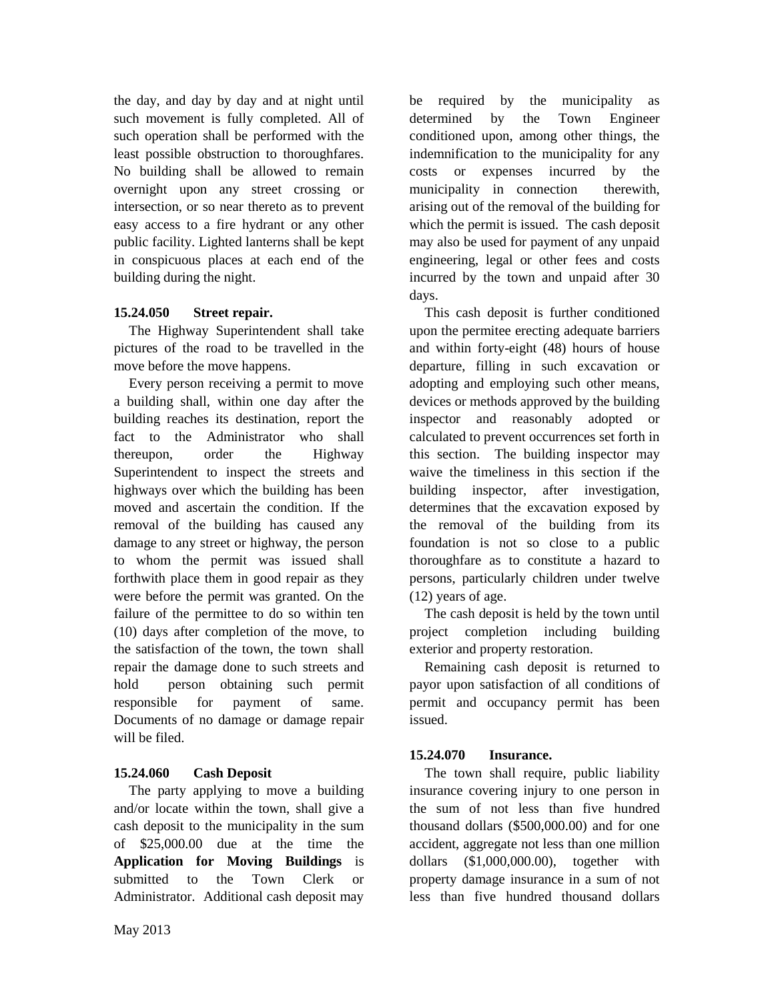the day, and day by day and at night until such movement is fully completed. All of such operation shall be performed with the least possible obstruction to thoroughfares. No building shall be allowed to remain overnight upon any street crossing or intersection, or so near thereto as to prevent easy access to a fire hydrant or any other public facility. Lighted lanterns shall be kept in conspicuous places at each end of the building during the night.

# **15.24.050 Street repair.**

The Highway Superintendent shall take pictures of the road to be travelled in the move before the move happens.

Every person receiving a permit to move a building shall, within one day after the building reaches its destination, report the fact to the Administrator who shall thereupon, order the Highway Superintendent to inspect the streets and highways over which the building has been moved and ascertain the condition. If the removal of the building has caused any damage to any street or highway, the person to whom the permit was issued shall forthwith place them in good repair as they were before the permit was granted. On the failure of the permittee to do so within ten (10) days after completion of the move, to the satisfaction of the town, the town shall repair the damage done to such streets and hold person obtaining such permit responsible for payment of same. Documents of no damage or damage repair will be filed.

# **15.24.060 Cash Deposit**

The party applying to move a building and/or locate within the town, shall give a cash deposit to the municipality in the sum of \$25,000.00 due at the time the **Application for Moving Buildings** is submitted to the Town Clerk or Administrator. Additional cash deposit may

be required by the municipality as determined by the Town Engineer conditioned upon, among other things, the indemnification to the municipality for any costs or expenses incurred by the municipality in connection therewith, arising out of the removal of the building for which the permit is issued. The cash deposit may also be used for payment of any unpaid engineering, legal or other fees and costs incurred by the town and unpaid after 30 days.

This cash deposit is further conditioned upon the permitee erecting adequate barriers and within forty-eight (48) hours of house departure, filling in such excavation or adopting and employing such other means, devices or methods approved by the building inspector and reasonably adopted or calculated to prevent occurrences set forth in this section. The building inspector may waive the timeliness in this section if the building inspector, after investigation, determines that the excavation exposed by the removal of the building from its foundation is not so close to a public thoroughfare as to constitute a hazard to persons, particularly children under twelve (12) years of age.

The cash deposit is held by the town until project completion including building exterior and property restoration.

Remaining cash deposit is returned to payor upon satisfaction of all conditions of permit and occupancy permit has been issued.

# **15.24.070 Insurance.**

The town shall require, public liability insurance covering injury to one person in the sum of not less than five hundred thousand dollars (\$500,000.00) and for one accident, aggregate not less than one million dollars (\$1,000,000.00), together with property damage insurance in a sum of not less than five hundred thousand dollars